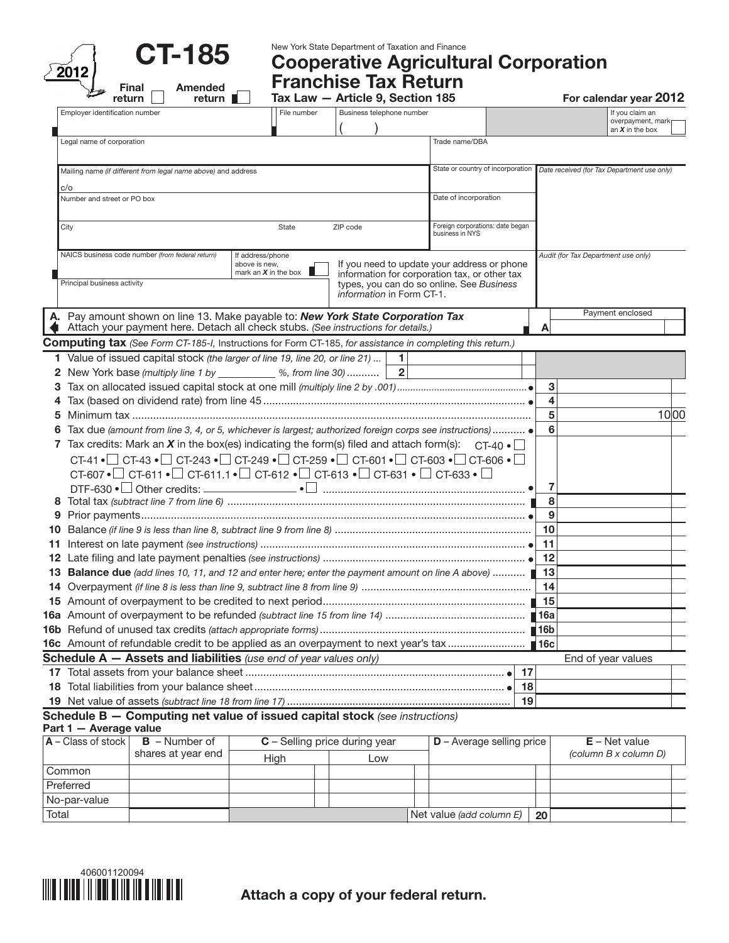| <b>CT-185</b> |  |
|---------------|--|
|               |  |

New York State Department of Taxation and Finance

Cooperative Agricultural Corporation

|                                                                                                                                                                                               |                        | Tax Law - Article 9, Section 185 |                |                                                     |    |                    | For calendar year 2012                                    |
|-----------------------------------------------------------------------------------------------------------------------------------------------------------------------------------------------|------------------------|----------------------------------|----------------|-----------------------------------------------------|----|--------------------|-----------------------------------------------------------|
| Employer identification number                                                                                                                                                                | File number            | Business telephone number        |                |                                                     |    |                    | If you claim an<br>overpayment, mark<br>an $X$ in the box |
| Legal name of corporation                                                                                                                                                                     |                        |                                  |                | Trade name/DBA                                      |    |                    |                                                           |
| Mailing name (if different from legal name above) and address                                                                                                                                 |                        |                                  |                | State or country of incorporation                   |    |                    | Date received (for Tax Department use only)               |
| C/O                                                                                                                                                                                           |                        |                                  |                |                                                     |    |                    |                                                           |
| Number and street or PO box                                                                                                                                                                   |                        |                                  |                | Date of incorporation                               |    |                    |                                                           |
| City                                                                                                                                                                                          | State                  | ZIP code                         |                | Foreign corporations: date began<br>business in NYS |    |                    |                                                           |
| NAICS business code number (from federal return)<br>above is new,                                                                                                                             | If address/phone       |                                  |                | If you need to update your address or phone         |    |                    | Audit (for Tax Department use only)                       |
|                                                                                                                                                                                               | mark an $X$ in the box |                                  |                | information for corporation tax, or other tax       |    |                    |                                                           |
| Principal business activity                                                                                                                                                                   |                        | information in Form CT-1.        |                | types, you can do so online. See Business           |    |                    |                                                           |
| A. Pay amount shown on line 13. Make payable to: New York State Corporation Tax                                                                                                               |                        |                                  |                |                                                     |    |                    | Payment enclosed                                          |
| Attach your payment here. Detach all check stubs. (See instructions for details.)                                                                                                             |                        |                                  |                |                                                     |    | A                  |                                                           |
| <b>Computing tax</b> (See Form CT-185-I, Instructions for Form CT-185, for assistance in completing this return.)                                                                             |                        |                                  |                |                                                     |    |                    |                                                           |
| 1 Value of issued capital stock (the larger of line 19, line 20, or line 21)                                                                                                                  |                        |                                  | 1              |                                                     |    |                    |                                                           |
| 2 New York base (multiply line 1 by ___________ %, from line 30)                                                                                                                              |                        |                                  | $\overline{2}$ |                                                     |    |                    |                                                           |
|                                                                                                                                                                                               |                        |                                  |                |                                                     |    | 3                  |                                                           |
|                                                                                                                                                                                               |                        |                                  |                |                                                     |    | 4                  |                                                           |
| 5                                                                                                                                                                                             |                        |                                  |                |                                                     |    | 5                  | 10 00                                                     |
| Tax due (amount from line 3, 4, or 5, whichever is largest; authorized foreign corps see instructions)  •                                                                                     |                        |                                  |                |                                                     |    | 6                  |                                                           |
| 7 Tax credits: Mark an X in the box(es) indicating the form(s) filed and attach form(s): $CT-40$ $\bullet$                                                                                    |                        |                                  |                |                                                     |    |                    |                                                           |
| CT-41 $\bullet$ $\Box$ CT-43 $\bullet$ $\Box$ CT-243 $\bullet$ $\Box$ CT-249 $\bullet$ $\Box$ CT-259 $\bullet$ $\Box$ CT-601 $\bullet$ $\Box$ CT-603 $\bullet$ $\Box$ CT-606 $\bullet$ $\Box$ |                        |                                  |                |                                                     |    |                    |                                                           |
| CT-607 $\bullet$ OT-611 $\bullet$ OT-611.1 $\bullet$ OT-612 $\bullet$ OT-613 $\bullet$ OT-631 $\bullet$ OT-633 $\bullet$ O                                                                    |                        |                                  |                |                                                     |    |                    |                                                           |
|                                                                                                                                                                                               |                        |                                  |                |                                                     |    | 7                  |                                                           |
|                                                                                                                                                                                               |                        |                                  |                |                                                     |    | 8                  |                                                           |
| 9                                                                                                                                                                                             |                        |                                  |                |                                                     |    | 9                  |                                                           |
| 10                                                                                                                                                                                            |                        |                                  |                |                                                     |    | 10                 |                                                           |
| 11                                                                                                                                                                                            |                        |                                  |                |                                                     |    | 11                 |                                                           |
|                                                                                                                                                                                               |                        |                                  |                |                                                     |    | 12                 |                                                           |
| <b>Balance due</b> (add lines 10, 11, and 12 and enter here; enter the payment amount on line A above)<br>13.                                                                                 |                        |                                  |                |                                                     |    | 13                 |                                                           |
|                                                                                                                                                                                               |                        |                                  |                |                                                     |    | 14                 |                                                           |
|                                                                                                                                                                                               |                        |                                  |                |                                                     |    | 15                 |                                                           |
|                                                                                                                                                                                               |                        |                                  |                |                                                     |    | $\blacksquare$ 16a |                                                           |
|                                                                                                                                                                                               |                        |                                  |                |                                                     |    |                    |                                                           |
|                                                                                                                                                                                               |                        |                                  |                |                                                     |    |                    |                                                           |
| <b>Schedule A <math>-</math> Assets and liabilities</b> (use end of year values only)                                                                                                         |                        |                                  |                |                                                     |    |                    | End of year values                                        |
|                                                                                                                                                                                               |                        |                                  |                |                                                     | 17 |                    |                                                           |
|                                                                                                                                                                                               |                        |                                  |                |                                                     | 18 |                    |                                                           |
|                                                                                                                                                                                               |                        |                                  |                |                                                     | 19 |                    |                                                           |
|                                                                                                                                                                                               |                        |                                  |                |                                                     |    |                    |                                                           |

| $ A - C $ ass of stock $ $ | $B -$ Number of    | $C$ – Selling price during year |  |     | $D -$ Average selling price |    | $E - Net value$       |
|----------------------------|--------------------|---------------------------------|--|-----|-----------------------------|----|-----------------------|
|                            | shares at year end | High                            |  | Low |                             |    | (column B x column D) |
| Common                     |                    |                                 |  |     |                             |    |                       |
| Preferred                  |                    |                                 |  |     |                             |    |                       |
| No-par-value               |                    |                                 |  |     |                             |    |                       |
| Total                      |                    |                                 |  |     | Net value (add column E)    | 20 |                       |